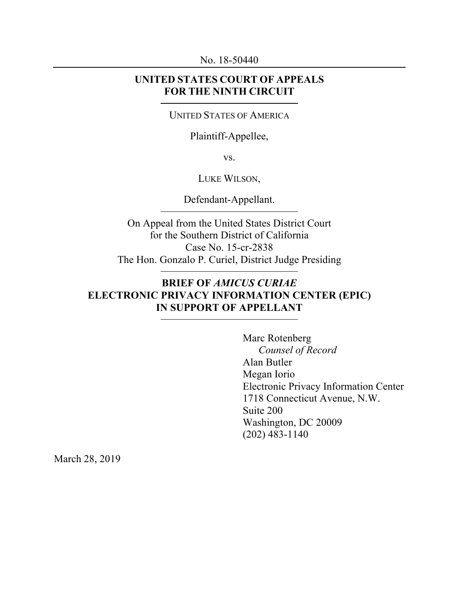No. 18-50440

## **UNITED STATES COURT OF APPEALS FOR THE NINTH CIRCUIT**

#### UNITED STATES OF AMERICA

### Plaintiff-Appellee,

vs.

### LUKE WILSON,

Defendant-Appellant.

On Appeal from the United States District Court for the Southern District of California Case No. 15-cr-2838 The Hon. Gonzalo P. Curiel, District Judge Presiding

# **BRIEF OF** *AMICUS CURIAE*  **ELECTRONIC PRIVACY INFORMATION CENTER (EPIC) IN SUPPORT OF APPELLANT**

Marc Rotenberg *Counsel of Record* Alan Butler Megan Iorio Electronic Privacy Information Center 1718 Connecticut Avenue, N.W. Suite 200 Washington, DC 20009 (202) 483-1140

March 28, 2019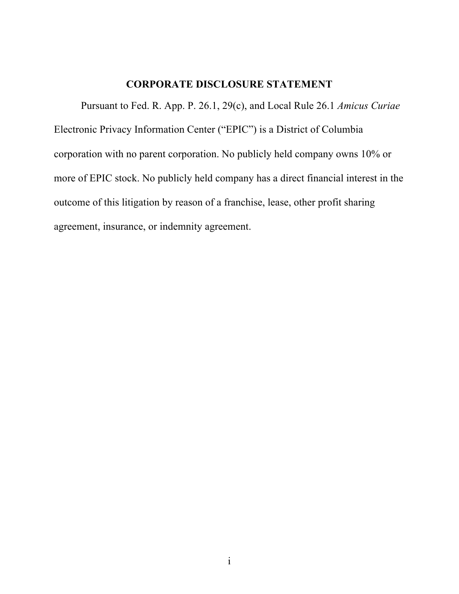## **CORPORATE DISCLOSURE STATEMENT**

Pursuant to Fed. R. App. P. 26.1, 29(c), and Local Rule 26.1 *Amicus Curiae* Electronic Privacy Information Center ("EPIC") is a District of Columbia corporation with no parent corporation. No publicly held company owns 10% or more of EPIC stock. No publicly held company has a direct financial interest in the outcome of this litigation by reason of a franchise, lease, other profit sharing agreement, insurance, or indemnity agreement.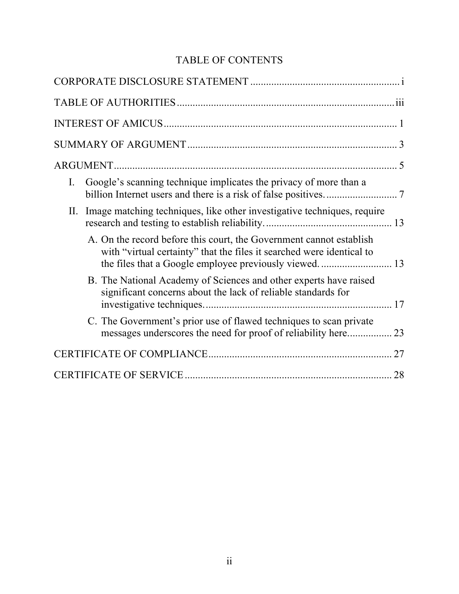# TABLE OF CONTENTS

| Google's scanning technique implicates the privacy of more than a<br>I.                                                                      |
|----------------------------------------------------------------------------------------------------------------------------------------------|
| Image matching techniques, like other investigative techniques, require<br>П.                                                                |
| A. On the record before this court, the Government cannot establish<br>with "virtual certainty" that the files it searched were identical to |
| B. The National Academy of Sciences and other experts have raised<br>significant concerns about the lack of reliable standards for           |
| C. The Government's prior use of flawed techniques to scan private                                                                           |
|                                                                                                                                              |
| 28                                                                                                                                           |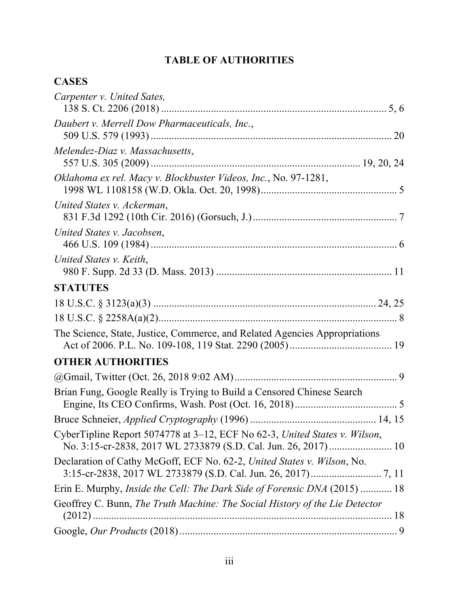# **TABLE OF AUTHORITIES**

# **CASES**

| Carpenter v. United Sates,                                                       |
|----------------------------------------------------------------------------------|
| Daubert v. Merrell Dow Pharmaceuticals, Inc.,                                    |
| Melendez-Diaz v. Massachusetts,                                                  |
| Oklahoma ex rel. Macy v. Blockbuster Videos, Inc., No. 97-1281,                  |
| United States v. Ackerman,                                                       |
| United States v. Jacobsen,                                                       |
| United States v. Keith,                                                          |
| <b>STATUTES</b>                                                                  |
|                                                                                  |
|                                                                                  |
| The Science, State, Justice, Commerce, and Related Agencies Appropriations       |
| <b>OTHER AUTHORITIES</b>                                                         |
|                                                                                  |
| Brian Fung, Google Really is Trying to Build a Censored Chinese Search           |
|                                                                                  |
| CyberTipline Report 5074778 at 3–12, ECF No 62-3, United States v. Wilson,       |
| Declaration of Cathy McGoff, ECF No. 62-2, United States v. Wilson, No.          |
| Erin E. Murphy, <i>Inside the Cell: The Dark Side of Forensic DNA</i> (2015)  18 |
| Geoffrey C. Bunn, The Truth Machine: The Social History of the Lie Detector      |
|                                                                                  |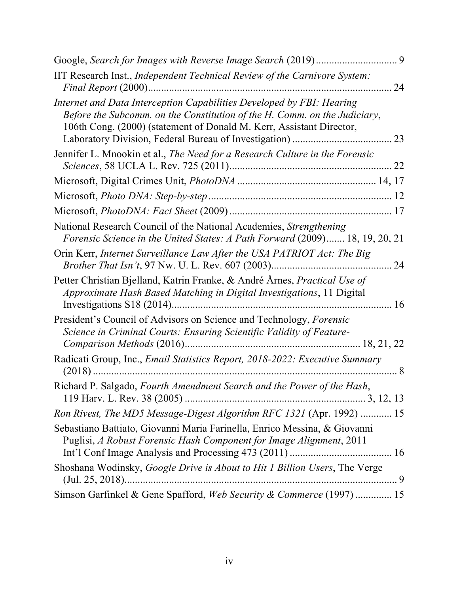| IIT Research Inst., Independent Technical Review of the Carnivore System:<br>Final Report (2000)                                                                                                                           | 24  |
|----------------------------------------------------------------------------------------------------------------------------------------------------------------------------------------------------------------------------|-----|
| Internet and Data Interception Capabilities Developed by FBI: Hearing<br>Before the Subcomm. on the Constitution of the H. Comm. on the Judiciary,<br>106th Cong. (2000) (statement of Donald M. Kerr, Assistant Director, |     |
| Jennifer L. Mnookin et al., The Need for a Research Culture in the Forensic                                                                                                                                                |     |
|                                                                                                                                                                                                                            |     |
|                                                                                                                                                                                                                            |     |
|                                                                                                                                                                                                                            |     |
| National Research Council of the National Academies, Strengthening<br>Forensic Science in the United States: A Path Forward (2009) 18, 19, 20, 21                                                                          |     |
| Orin Kerr, Internet Surveillance Law After the USA PATRIOT Act: The Big                                                                                                                                                    | 24  |
| Petter Christian Bjelland, Katrin Franke, & André Årnes, Practical Use of<br>Approximate Hash Based Matching in Digital Investigations, 11 Digital                                                                         |     |
| President's Council of Advisors on Science and Technology, Forensic<br>Science in Criminal Courts: Ensuring Scientific Validity of Feature-                                                                                |     |
| Radicati Group, Inc., Email Statistics Report, 2018-2022: Executive Summary<br>$(2018)$                                                                                                                                    | . 8 |
| Richard P. Salgado, Fourth Amendment Search and the Power of the Hash,                                                                                                                                                     |     |
| Ron Rivest, The MD5 Message-Digest Algorithm RFC 1321 (Apr. 1992)  15                                                                                                                                                      |     |
| Sebastiano Battiato, Giovanni Maria Farinella, Enrico Messina, & Giovanni<br>Puglisi, A Robust Forensic Hash Component for Image Alignment, 2011                                                                           |     |
| Shoshana Wodinsky, Google Drive is About to Hit 1 Billion Users, The Verge                                                                                                                                                 |     |
| Simson Garfinkel & Gene Spafford, Web Security & Commerce (1997)  15                                                                                                                                                       |     |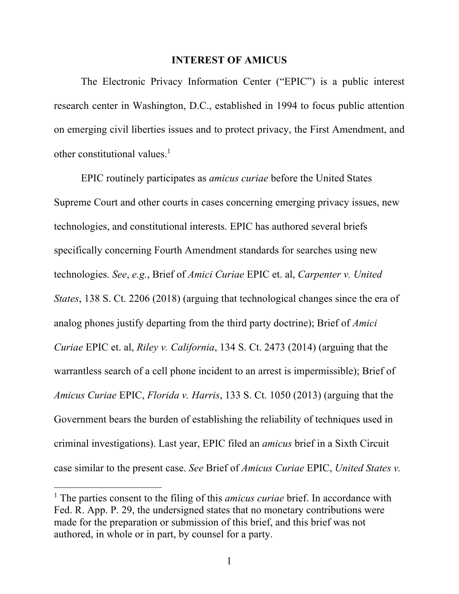#### **INTEREST OF AMICUS**

The Electronic Privacy Information Center ("EPIC") is a public interest research center in Washington, D.C., established in 1994 to focus public attention on emerging civil liberties issues and to protect privacy, the First Amendment, and other constitutional values. $<sup>1</sup>$ </sup>

EPIC routinely participates as *amicus curiae* before the United States Supreme Court and other courts in cases concerning emerging privacy issues, new technologies, and constitutional interests. EPIC has authored several briefs specifically concerning Fourth Amendment standards for searches using new technologies. *See*, *e.g.*, Brief of *Amici Curiae* EPIC et. al, *Carpenter v. United States*, 138 S. Ct. 2206 (2018) (arguing that technological changes since the era of analog phones justify departing from the third party doctrine); Brief of *Amici Curiae* EPIC et. al, *Riley v. California*, 134 S. Ct. 2473 (2014) (arguing that the warrantless search of a cell phone incident to an arrest is impermissible); Brief of *Amicus Curiae* EPIC, *Florida v. Harris*, 133 S. Ct. 1050 (2013) (arguing that the Government bears the burden of establishing the reliability of techniques used in criminal investigations). Last year, EPIC filed an *amicus* brief in a Sixth Circuit case similar to the present case. *See* Brief of *Amicus Curiae* EPIC, *United States v.* 

<sup>1</sup> The parties consent to the filing of this *amicus curiae* brief. In accordance with Fed. R. App. P. 29, the undersigned states that no monetary contributions were made for the preparation or submission of this brief, and this brief was not authored, in whole or in part, by counsel for a party.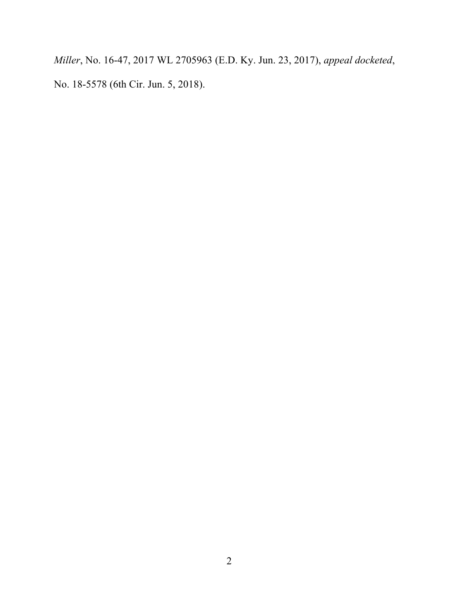*Miller*, No. 16-47, 2017 WL 2705963 (E.D. Ky. Jun. 23, 2017), *appeal docketed*, No. 18-5578 (6th Cir. Jun. 5, 2018).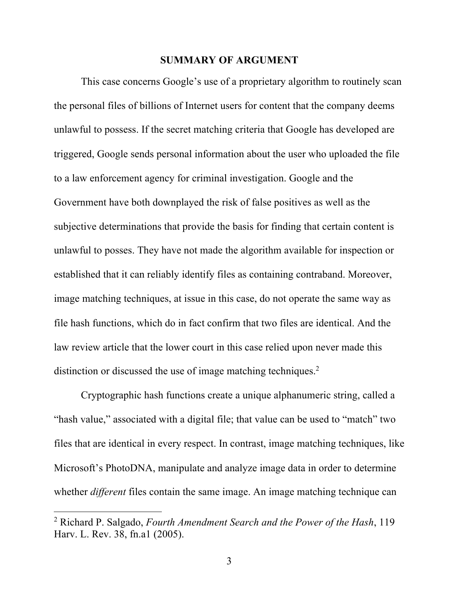#### **SUMMARY OF ARGUMENT**

This case concerns Google's use of a proprietary algorithm to routinely scan the personal files of billions of Internet users for content that the company deems unlawful to possess. If the secret matching criteria that Google has developed are triggered, Google sends personal information about the user who uploaded the file to a law enforcement agency for criminal investigation. Google and the Government have both downplayed the risk of false positives as well as the subjective determinations that provide the basis for finding that certain content is unlawful to posses. They have not made the algorithm available for inspection or established that it can reliably identify files as containing contraband. Moreover, image matching techniques, at issue in this case, do not operate the same way as file hash functions, which do in fact confirm that two files are identical. And the law review article that the lower court in this case relied upon never made this distinction or discussed the use of image matching techniques.<sup>2</sup>

Cryptographic hash functions create a unique alphanumeric string, called a "hash value," associated with a digital file; that value can be used to "match" two files that are identical in every respect. In contrast, image matching techniques, like Microsoft's PhotoDNA, manipulate and analyze image data in order to determine whether *different* files contain the same image. An image matching technique can

<sup>2</sup> Richard P. Salgado, *Fourth Amendment Search and the Power of the Hash*, 119 Harv. L. Rev. 38, fn.a1 (2005).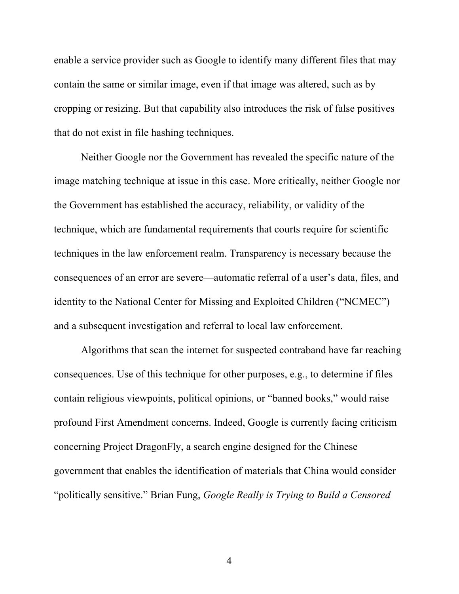enable a service provider such as Google to identify many different files that may contain the same or similar image, even if that image was altered, such as by cropping or resizing. But that capability also introduces the risk of false positives that do not exist in file hashing techniques.

Neither Google nor the Government has revealed the specific nature of the image matching technique at issue in this case. More critically, neither Google nor the Government has established the accuracy, reliability, or validity of the technique, which are fundamental requirements that courts require for scientific techniques in the law enforcement realm. Transparency is necessary because the consequences of an error are severe—automatic referral of a user's data, files, and identity to the National Center for Missing and Exploited Children ("NCMEC") and a subsequent investigation and referral to local law enforcement.

Algorithms that scan the internet for suspected contraband have far reaching consequences. Use of this technique for other purposes, e.g., to determine if files contain religious viewpoints, political opinions, or "banned books," would raise profound First Amendment concerns. Indeed, Google is currently facing criticism concerning Project DragonFly, a search engine designed for the Chinese government that enables the identification of materials that China would consider "politically sensitive." Brian Fung, *Google Really is Trying to Build a Censored*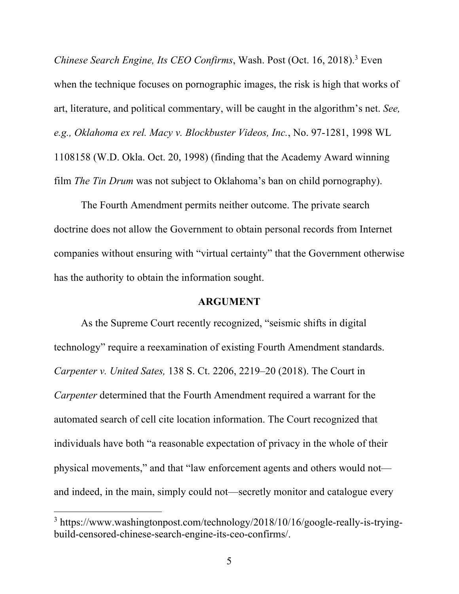*Chinese Search Engine, Its CEO Confirms*, Wash. Post (Oct. 16, 2018). <sup>3</sup> Even when the technique focuses on pornographic images, the risk is high that works of art, literature, and political commentary, will be caught in the algorithm's net. *See, e.g., Oklahoma ex rel. Macy v. Blockbuster Videos, Inc.*, No. 97-1281, 1998 WL 1108158 (W.D. Okla. Oct. 20, 1998) (finding that the Academy Award winning film *The Tin Drum* was not subject to Oklahoma's ban on child pornography).

The Fourth Amendment permits neither outcome. The private search doctrine does not allow the Government to obtain personal records from Internet companies without ensuring with "virtual certainty" that the Government otherwise has the authority to obtain the information sought.

#### **ARGUMENT**

As the Supreme Court recently recognized, "seismic shifts in digital technology" require a reexamination of existing Fourth Amendment standards. *Carpenter v. United Sates,* 138 S. Ct. 2206, 2219–20 (2018). The Court in *Carpenter* determined that the Fourth Amendment required a warrant for the automated search of cell cite location information. The Court recognized that individuals have both "a reasonable expectation of privacy in the whole of their physical movements," and that "law enforcement agents and others would not and indeed, in the main, simply could not—secretly monitor and catalogue every

<sup>&</sup>lt;sup>3</sup> https://www.washingtonpost.com/technology/2018/10/16/google-really-is-tryingbuild-censored-chinese-search-engine-its-ceo-confirms/.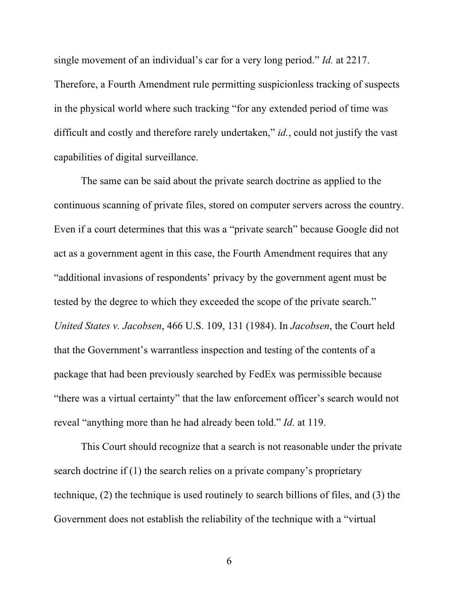single movement of an individual's car for a very long period." *Id.* at 2217. Therefore, a Fourth Amendment rule permitting suspicionless tracking of suspects in the physical world where such tracking "for any extended period of time was difficult and costly and therefore rarely undertaken," *id.*, could not justify the vast capabilities of digital surveillance.

The same can be said about the private search doctrine as applied to the continuous scanning of private files, stored on computer servers across the country. Even if a court determines that this was a "private search" because Google did not act as a government agent in this case, the Fourth Amendment requires that any "additional invasions of respondents' privacy by the government agent must be tested by the degree to which they exceeded the scope of the private search." *United States v. Jacobsen*, 466 U.S. 109, 131 (1984). In *Jacobsen*, the Court held that the Government's warrantless inspection and testing of the contents of a package that had been previously searched by FedEx was permissible because "there was a virtual certainty" that the law enforcement officer's search would not reveal "anything more than he had already been told." *Id*. at 119.

This Court should recognize that a search is not reasonable under the private search doctrine if (1) the search relies on a private company's proprietary technique, (2) the technique is used routinely to search billions of files, and (3) the Government does not establish the reliability of the technique with a "virtual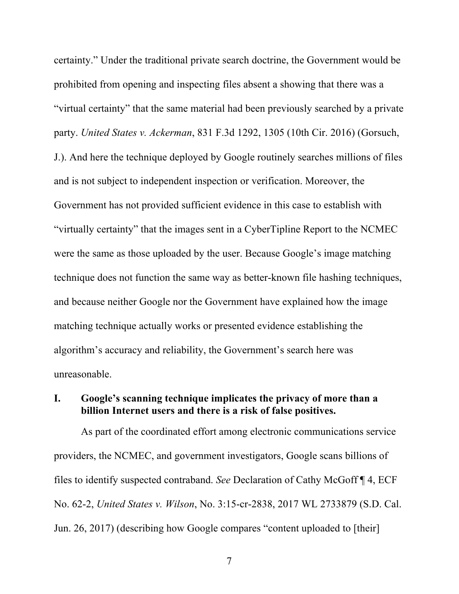certainty." Under the traditional private search doctrine, the Government would be prohibited from opening and inspecting files absent a showing that there was a "virtual certainty" that the same material had been previously searched by a private party. *United States v. Ackerman*, 831 F.3d 1292, 1305 (10th Cir. 2016) (Gorsuch, J.). And here the technique deployed by Google routinely searches millions of files and is not subject to independent inspection or verification. Moreover, the Government has not provided sufficient evidence in this case to establish with "virtually certainty" that the images sent in a CyberTipline Report to the NCMEC were the same as those uploaded by the user. Because Google's image matching technique does not function the same way as better-known file hashing techniques, and because neither Google nor the Government have explained how the image matching technique actually works or presented evidence establishing the algorithm's accuracy and reliability, the Government's search here was unreasonable.

# **I. Google's scanning technique implicates the privacy of more than a billion Internet users and there is a risk of false positives.**

As part of the coordinated effort among electronic communications service providers, the NCMEC, and government investigators, Google scans billions of files to identify suspected contraband. *See* Declaration of Cathy McGoff ¶ 4, ECF No. 62-2, *United States v. Wilson*, No. 3:15-cr-2838, 2017 WL 2733879 (S.D. Cal. Jun. 26, 2017) (describing how Google compares "content uploaded to [their]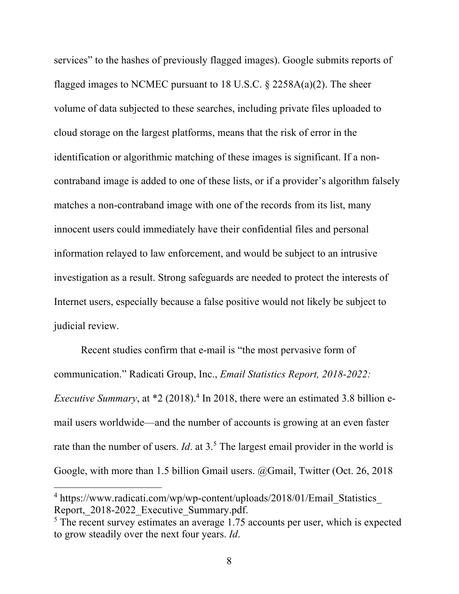services" to the hashes of previously flagged images). Google submits reports of flagged images to NCMEC pursuant to 18 U.S.C.  $\S$  2258A(a)(2). The sheer volume of data subjected to these searches, including private files uploaded to cloud storage on the largest platforms, means that the risk of error in the identification or algorithmic matching of these images is significant. If a noncontraband image is added to one of these lists, or if a provider's algorithm falsely matches a non-contraband image with one of the records from its list, many innocent users could immediately have their confidential files and personal information relayed to law enforcement, and would be subject to an intrusive investigation as a result. Strong safeguards are needed to protect the interests of Internet users, especially because a false positive would not likely be subject to judicial review.

Recent studies confirm that e-mail is "the most pervasive form of communication." Radicati Group, Inc., *Email Statistics Report, 2018-2022: Executive Summary*, at \*2 (2018).<sup>4</sup> In 2018, there were an estimated 3.8 billion email users worldwide—and the number of accounts is growing at an even faster rate than the number of users. *Id*. at 3.<sup>5</sup> The largest email provider in the world is Google, with more than 1.5 billion Gmail users. @Gmail, Twitter (Oct. 26, 2018

<sup>&</sup>lt;sup>4</sup> https://www.radicati.com/wp/wp-content/uploads/2018/01/Email Statistics Report,\_2018-2022\_Executive\_Summary.pdf.<br><sup>5</sup> The recent survey estimates an average 1.75 accounts per user, which is expected

to grow steadily over the next four years. *Id*.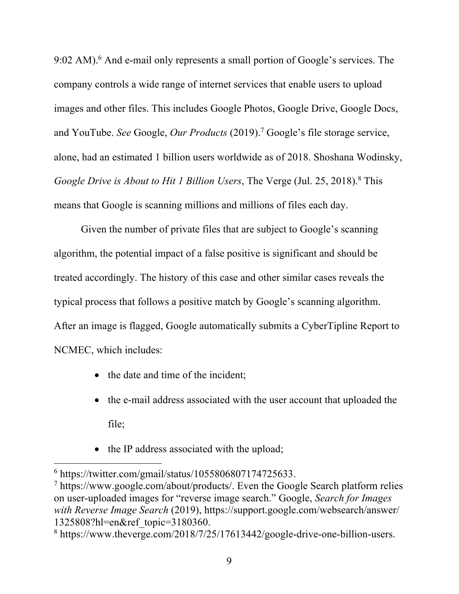9:02 AM).<sup>6</sup> And e-mail only represents a small portion of Google's services. The company controls a wide range of internet services that enable users to upload images and other files. This includes Google Photos, Google Drive, Google Docs, and YouTube. *See* Google, *Our Products* (2019). <sup>7</sup> Google's file storage service, alone, had an estimated 1 billion users worldwide as of 2018. Shoshana Wodinsky, *Google Drive is About to Hit 1 Billion Users*, The Verge (Jul. 25, 2018). <sup>8</sup> This means that Google is scanning millions and millions of files each day.

Given the number of private files that are subject to Google's scanning algorithm, the potential impact of a false positive is significant and should be treated accordingly. The history of this case and other similar cases reveals the typical process that follows a positive match by Google's scanning algorithm. After an image is flagged, Google automatically submits a CyberTipline Report to NCMEC, which includes:

- the date and time of the incident;
- the e-mail address associated with the user account that uploaded the file;
- the IP address associated with the upload;

<sup>6</sup> https://twitter.com/gmail/status/1055806807174725633.

<sup>7</sup> https://www.google.com/about/products/. Even the Google Search platform relies on user-uploaded images for "reverse image search." Google, *Search for Images with Reverse Image Search* (2019), https://support.google.com/websearch/answer/ 1325808?hl=en&ref\_topic=3180360. 8 https://www.theverge.com/2018/7/25/17613442/google-drive-one-billion-users.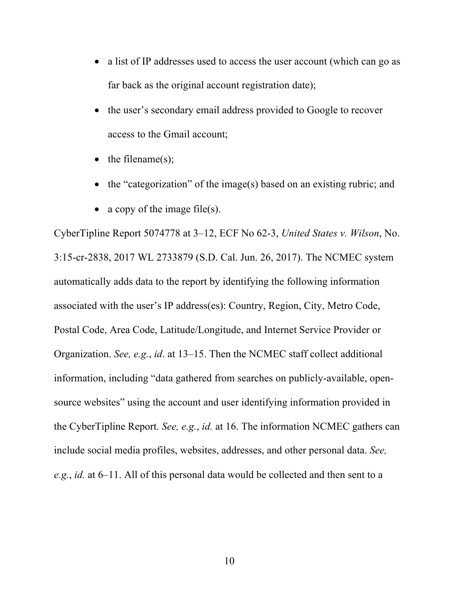- a list of IP addresses used to access the user account (which can go as far back as the original account registration date);
- the user's secondary email address provided to Google to recover access to the Gmail account;
- the filename(s);
- the "categorization" of the image(s) based on an existing rubric; and
- a copy of the image file(s).

CyberTipline Report 5074778 at 3–12, ECF No 62-3, *United States v. Wilson*, No. 3:15-cr-2838, 2017 WL 2733879 (S.D. Cal. Jun. 26, 2017). The NCMEC system automatically adds data to the report by identifying the following information associated with the user's IP address(es): Country, Region, City, Metro Code, Postal Code, Area Code, Latitude/Longitude, and Internet Service Provider or Organization. *See, e.g.*, *id*. at 13–15. Then the NCMEC staff collect additional information, including "data gathered from searches on publicly-available, opensource websites" using the account and user identifying information provided in the CyberTipline Report. *See, e.g.*, *id.* at 16. The information NCMEC gathers can include social media profiles, websites, addresses, and other personal data. *See, e.g.*, *id.* at 6–11. All of this personal data would be collected and then sent to a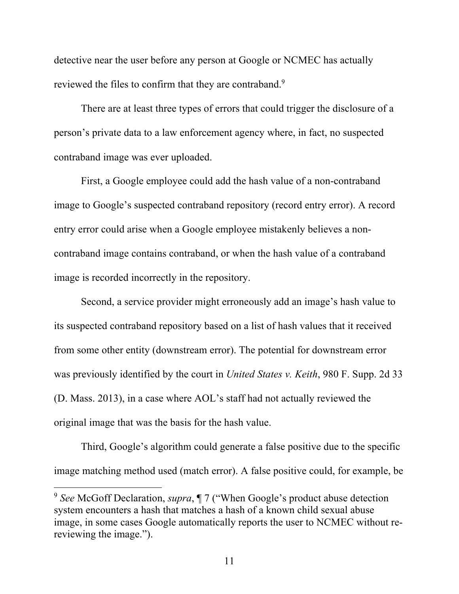detective near the user before any person at Google or NCMEC has actually reviewed the files to confirm that they are contraband.<sup>9</sup>

There are at least three types of errors that could trigger the disclosure of a person's private data to a law enforcement agency where, in fact, no suspected contraband image was ever uploaded.

First, a Google employee could add the hash value of a non-contraband image to Google's suspected contraband repository (record entry error). A record entry error could arise when a Google employee mistakenly believes a noncontraband image contains contraband, or when the hash value of a contraband image is recorded incorrectly in the repository.

Second, a service provider might erroneously add an image's hash value to its suspected contraband repository based on a list of hash values that it received from some other entity (downstream error). The potential for downstream error was previously identified by the court in *United States v. Keith*, 980 F. Supp. 2d 33 (D. Mass. 2013), in a case where AOL's staff had not actually reviewed the original image that was the basis for the hash value.

Third, Google's algorithm could generate a false positive due to the specific image matching method used (match error). A false positive could, for example, be

<sup>9</sup> *See* McGoff Declaration, *supra*, ¶ 7 ("When Google's product abuse detection system encounters a hash that matches a hash of a known child sexual abuse image, in some cases Google automatically reports the user to NCMEC without rereviewing the image.").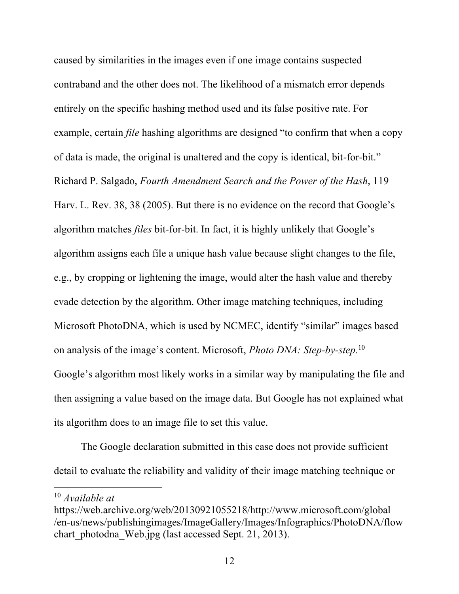caused by similarities in the images even if one image contains suspected contraband and the other does not. The likelihood of a mismatch error depends entirely on the specific hashing method used and its false positive rate. For example, certain *file* hashing algorithms are designed "to confirm that when a copy of data is made, the original is unaltered and the copy is identical, bit-for-bit." Richard P. Salgado, *Fourth Amendment Search and the Power of the Hash*, 119 Harv. L. Rev. 38, 38 (2005). But there is no evidence on the record that Google's algorithm matches *files* bit-for-bit. In fact, it is highly unlikely that Google's algorithm assigns each file a unique hash value because slight changes to the file, e.g., by cropping or lightening the image, would alter the hash value and thereby evade detection by the algorithm. Other image matching techniques, including Microsoft PhotoDNA, which is used by NCMEC, identify "similar" images based on analysis of the image's content. Microsoft, *Photo DNA: Step-by-step*. 10 Google's algorithm most likely works in a similar way by manipulating the file and then assigning a value based on the image data. But Google has not explained what its algorithm does to an image file to set this value.

The Google declaration submitted in this case does not provide sufficient detail to evaluate the reliability and validity of their image matching technique or

<sup>10</sup> *Available at*

https://web.archive.org/web/20130921055218/http://www.microsoft.com/global /en-us/news/publishingimages/ImageGallery/Images/Infographics/PhotoDNA/flow chart photodna Web.jpg (last accessed Sept. 21, 2013).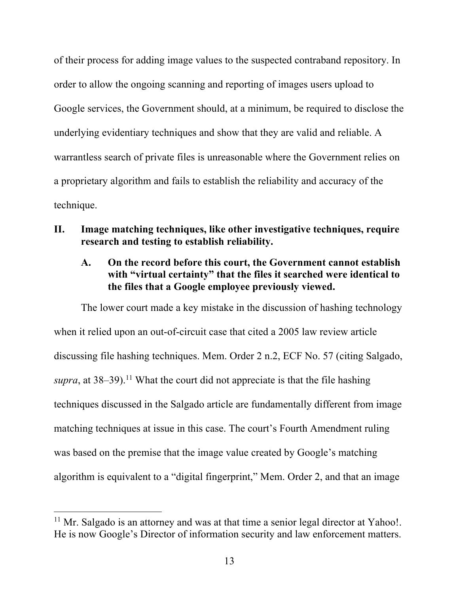of their process for adding image values to the suspected contraband repository. In order to allow the ongoing scanning and reporting of images users upload to Google services, the Government should, at a minimum, be required to disclose the underlying evidentiary techniques and show that they are valid and reliable. A warrantless search of private files is unreasonable where the Government relies on a proprietary algorithm and fails to establish the reliability and accuracy of the technique.

- **II. Image matching techniques, like other investigative techniques, require research and testing to establish reliability.**
	- **A. On the record before this court, the Government cannot establish with "virtual certainty" that the files it searched were identical to the files that a Google employee previously viewed.**

The lower court made a key mistake in the discussion of hashing technology when it relied upon an out-of-circuit case that cited a 2005 law review article discussing file hashing techniques. Mem. Order 2 n.2, ECF No. 57 (citing Salgado, *supra*, at  $38-39$ .<sup>11</sup> What the court did not appreciate is that the file hashing techniques discussed in the Salgado article are fundamentally different from image matching techniques at issue in this case. The court's Fourth Amendment ruling was based on the premise that the image value created by Google's matching algorithm is equivalent to a "digital fingerprint," Mem. Order 2, and that an image

 $11$  Mr. Salgado is an attorney and was at that time a senior legal director at Yahoo!. He is now Google's Director of information security and law enforcement matters.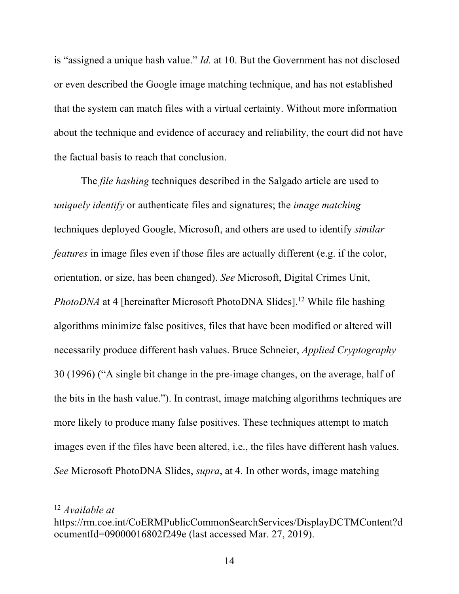is "assigned a unique hash value." *Id.* at 10. But the Government has not disclosed or even described the Google image matching technique, and has not established that the system can match files with a virtual certainty. Without more information about the technique and evidence of accuracy and reliability, the court did not have the factual basis to reach that conclusion.

The *file hashing* techniques described in the Salgado article are used to *uniquely identify* or authenticate files and signatures; the *image matching* techniques deployed Google, Microsoft, and others are used to identify *similar features* in image files even if those files are actually different (e.g. if the color, orientation, or size, has been changed). *See* Microsoft, Digital Crimes Unit, *PhotoDNA* at 4 [hereinafter Microsoft PhotoDNA Slides].<sup>12</sup> While file hashing algorithms minimize false positives, files that have been modified or altered will necessarily produce different hash values. Bruce Schneier, *Applied Cryptography*  30 (1996) ("A single bit change in the pre-image changes, on the average, half of the bits in the hash value."). In contrast, image matching algorithms techniques are more likely to produce many false positives. These techniques attempt to match images even if the files have been altered, i.e., the files have different hash values. *See* Microsoft PhotoDNA Slides, *supra*, at 4. In other words, image matching

<sup>12</sup> *Available at*

https://rm.coe.int/CoERMPublicCommonSearchServices/DisplayDCTMContent?d ocumentId=09000016802f249e (last accessed Mar. 27, 2019).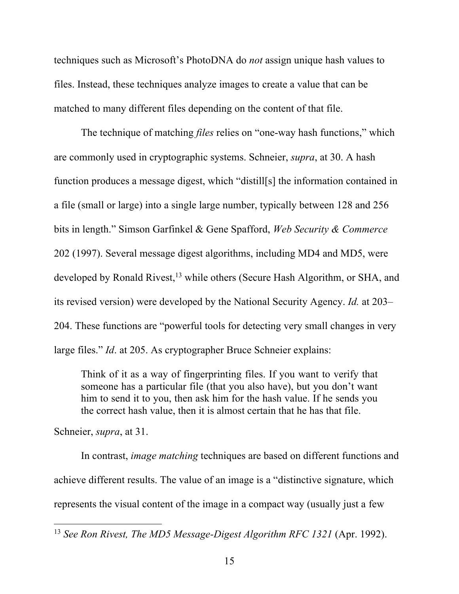techniques such as Microsoft's PhotoDNA do *not* assign unique hash values to files. Instead, these techniques analyze images to create a value that can be matched to many different files depending on the content of that file.

The technique of matching *files* relies on "one-way hash functions," which are commonly used in cryptographic systems. Schneier, *supra*, at 30. A hash function produces a message digest, which "distill[s] the information contained in a file (small or large) into a single large number, typically between 128 and 256 bits in length." Simson Garfinkel & Gene Spafford, *Web Security & Commerce*  202 (1997). Several message digest algorithms, including MD4 and MD5, were developed by Ronald Rivest,<sup>13</sup> while others (Secure Hash Algorithm, or SHA, and its revised version) were developed by the National Security Agency. *Id.* at 203– 204. These functions are "powerful tools for detecting very small changes in very large files." *Id*. at 205. As cryptographer Bruce Schneier explains:

Think of it as a way of fingerprinting files. If you want to verify that someone has a particular file (that you also have), but you don't want him to send it to you, then ask him for the hash value. If he sends you the correct hash value, then it is almost certain that he has that file.

Schneier, *supra*, at 31.

 

In contrast, *image matching* techniques are based on different functions and achieve different results. The value of an image is a "distinctive signature, which represents the visual content of the image in a compact way (usually just a few

<sup>&</sup>lt;sup>13</sup> *See Ron Rivest, The MD5 Message-Digest Algorithm RFC 1321* (Apr. 1992).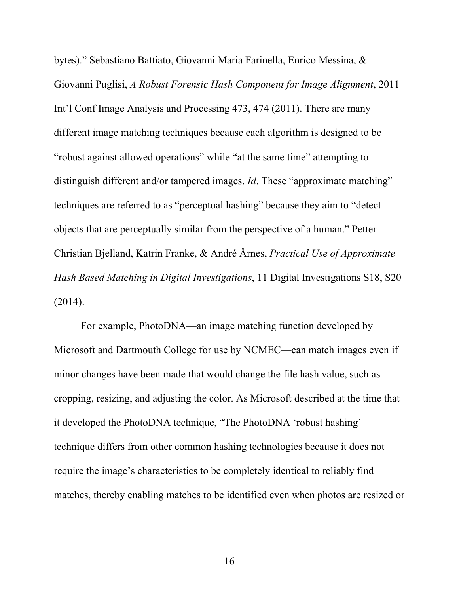bytes)." Sebastiano Battiato, Giovanni Maria Farinella, Enrico Messina, & Giovanni Puglisi, *A Robust Forensic Hash Component for Image Alignment*, 2011 Int'l Conf Image Analysis and Processing 473, 474 (2011). There are many different image matching techniques because each algorithm is designed to be "robust against allowed operations" while "at the same time" attempting to distinguish different and/or tampered images. *Id*. These "approximate matching" techniques are referred to as "perceptual hashing" because they aim to "detect objects that are perceptually similar from the perspective of a human." Petter Christian Bjelland, Katrin Franke, & André Årnes, *Practical Use of Approximate Hash Based Matching in Digital Investigations*, 11 Digital Investigations S18, S20 (2014).

For example, PhotoDNA—an image matching function developed by Microsoft and Dartmouth College for use by NCMEC—can match images even if minor changes have been made that would change the file hash value, such as cropping, resizing, and adjusting the color. As Microsoft described at the time that it developed the PhotoDNA technique, "The PhotoDNA 'robust hashing' technique differs from other common hashing technologies because it does not require the image's characteristics to be completely identical to reliably find matches, thereby enabling matches to be identified even when photos are resized or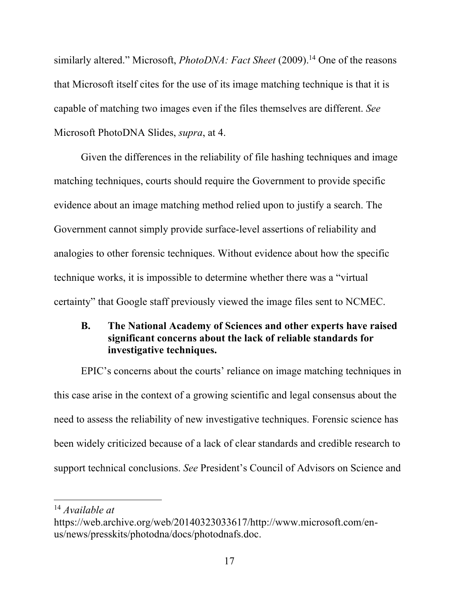similarly altered." Microsoft, *PhotoDNA: Fact Sheet* (2009). <sup>14</sup> One of the reasons that Microsoft itself cites for the use of its image matching technique is that it is capable of matching two images even if the files themselves are different. *See*  Microsoft PhotoDNA Slides, *supra*, at 4.

Given the differences in the reliability of file hashing techniques and image matching techniques, courts should require the Government to provide specific evidence about an image matching method relied upon to justify a search. The Government cannot simply provide surface-level assertions of reliability and analogies to other forensic techniques. Without evidence about how the specific technique works, it is impossible to determine whether there was a "virtual certainty" that Google staff previously viewed the image files sent to NCMEC.

## **B. The National Academy of Sciences and other experts have raised significant concerns about the lack of reliable standards for investigative techniques.**

EPIC's concerns about the courts' reliance on image matching techniques in this case arise in the context of a growing scientific and legal consensus about the need to assess the reliability of new investigative techniques. Forensic science has been widely criticized because of a lack of clear standards and credible research to support technical conclusions. *See* President's Council of Advisors on Science and

<sup>14</sup> *Available at*

https://web.archive.org/web/20140323033617/http://www.microsoft.com/enus/news/presskits/photodna/docs/photodnafs.doc.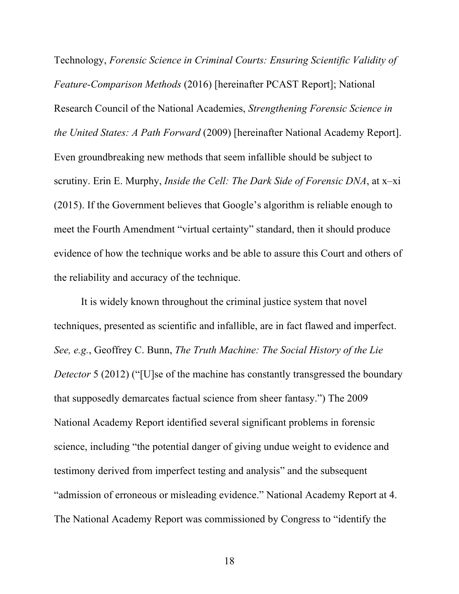Technology, *Forensic Science in Criminal Courts: Ensuring Scientific Validity of Feature-Comparison Methods* (2016) [hereinafter PCAST Report]; National Research Council of the National Academies, *Strengthening Forensic Science in the United States: A Path Forward* (2009) [hereinafter National Academy Report]. Even groundbreaking new methods that seem infallible should be subject to scrutiny. Erin E. Murphy, *Inside the Cell: The Dark Side of Forensic DNA*, at x–xi (2015). If the Government believes that Google's algorithm is reliable enough to meet the Fourth Amendment "virtual certainty" standard, then it should produce evidence of how the technique works and be able to assure this Court and others of the reliability and accuracy of the technique.

It is widely known throughout the criminal justice system that novel techniques, presented as scientific and infallible, are in fact flawed and imperfect. *See, e.g.*, Geoffrey C. Bunn, *The Truth Machine: The Social History of the Lie Detector* 5 (2012) ("[U]se of the machine has constantly transgressed the boundary that supposedly demarcates factual science from sheer fantasy.") The 2009 National Academy Report identified several significant problems in forensic science, including "the potential danger of giving undue weight to evidence and testimony derived from imperfect testing and analysis" and the subsequent "admission of erroneous or misleading evidence." National Academy Report at 4. The National Academy Report was commissioned by Congress to "identify the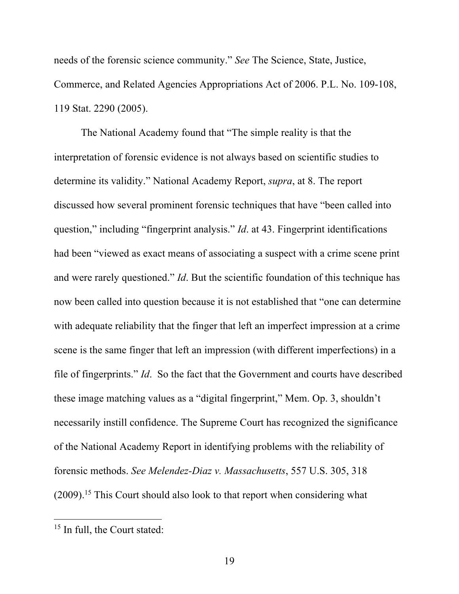needs of the forensic science community." *See* The Science, State, Justice, Commerce, and Related Agencies Appropriations Act of 2006. P.L. No. 109-108, 119 Stat. 2290 (2005).

The National Academy found that "The simple reality is that the interpretation of forensic evidence is not always based on scientific studies to determine its validity." National Academy Report, *supra*, at 8. The report discussed how several prominent forensic techniques that have "been called into question," including "fingerprint analysis." *Id*. at 43. Fingerprint identifications had been "viewed as exact means of associating a suspect with a crime scene print and were rarely questioned." *Id*. But the scientific foundation of this technique has now been called into question because it is not established that "one can determine with adequate reliability that the finger that left an imperfect impression at a crime scene is the same finger that left an impression (with different imperfections) in a file of fingerprints." *Id*. So the fact that the Government and courts have described these image matching values as a "digital fingerprint," Mem. Op. 3, shouldn't necessarily instill confidence. The Supreme Court has recognized the significance of the National Academy Report in identifying problems with the reliability of forensic methods. *See Melendez-Diaz v. Massachusetts*, 557 U.S. 305, 318 (2009).<sup>15</sup> This Court should also look to that report when considering what

 <sup>15</sup> In full, the Court stated: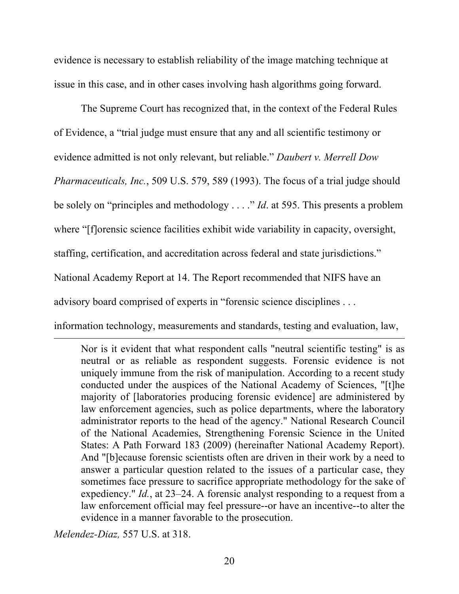evidence is necessary to establish reliability of the image matching technique at issue in this case, and in other cases involving hash algorithms going forward.

The Supreme Court has recognized that, in the context of the Federal Rules of Evidence, a "trial judge must ensure that any and all scientific testimony or evidence admitted is not only relevant, but reliable." *Daubert v. Merrell Dow Pharmaceuticals, Inc.*, 509 U.S. 579, 589 (1993). The focus of a trial judge should be solely on "principles and methodology . . . ." *Id*. at 595. This presents a problem where "[f]orensic science facilities exhibit wide variability in capacity, oversight, staffing, certification, and accreditation across federal and state jurisdictions." National Academy Report at 14. The Report recommended that NIFS have an advisory board comprised of experts in "forensic science disciplines . . .

information technology, measurements and standards, testing and evaluation, law, <u> 1989 - Andrea San Andrea San Andrea San Andrea San Andrea San Andrea San Andrea San Andrea San Andrea San An</u>

Nor is it evident that what respondent calls "neutral scientific testing" is as neutral or as reliable as respondent suggests. Forensic evidence is not uniquely immune from the risk of manipulation. According to a recent study conducted under the auspices of the National Academy of Sciences, "[t]he majority of [laboratories producing forensic evidence] are administered by law enforcement agencies, such as police departments, where the laboratory administrator reports to the head of the agency." National Research Council of the National Academies, Strengthening Forensic Science in the United States: A Path Forward 183 (2009) (hereinafter National Academy Report). And "[b]ecause forensic scientists often are driven in their work by a need to answer a particular question related to the issues of a particular case, they sometimes face pressure to sacrifice appropriate methodology for the sake of expediency." *Id.*, at 23–24. A forensic analyst responding to a request from a law enforcement official may feel pressure--or have an incentive--to alter the evidence in a manner favorable to the prosecution.

*Melendez-Diaz,* 557 U.S. at 318.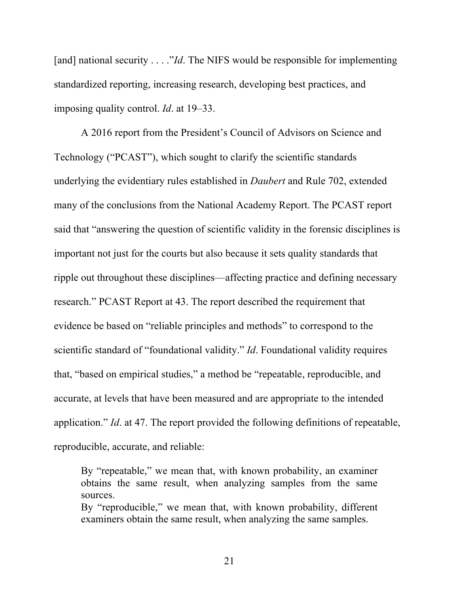[and] national security . . . ."*Id*. The NIFS would be responsible for implementing standardized reporting, increasing research, developing best practices, and imposing quality control. *Id*. at 19–33.

A 2016 report from the President's Council of Advisors on Science and Technology ("PCAST"), which sought to clarify the scientific standards underlying the evidentiary rules established in *Daubert* and Rule 702, extended many of the conclusions from the National Academy Report. The PCAST report said that "answering the question of scientific validity in the forensic disciplines is important not just for the courts but also because it sets quality standards that ripple out throughout these disciplines—affecting practice and defining necessary research." PCAST Report at 43. The report described the requirement that evidence be based on "reliable principles and methods" to correspond to the scientific standard of "foundational validity." *Id*. Foundational validity requires that, "based on empirical studies," a method be "repeatable, reproducible, and accurate, at levels that have been measured and are appropriate to the intended application." *Id*. at 47. The report provided the following definitions of repeatable, reproducible, accurate, and reliable:

By "repeatable," we mean that, with known probability, an examiner obtains the same result, when analyzing samples from the same sources.

By "reproducible," we mean that, with known probability, different examiners obtain the same result, when analyzing the same samples.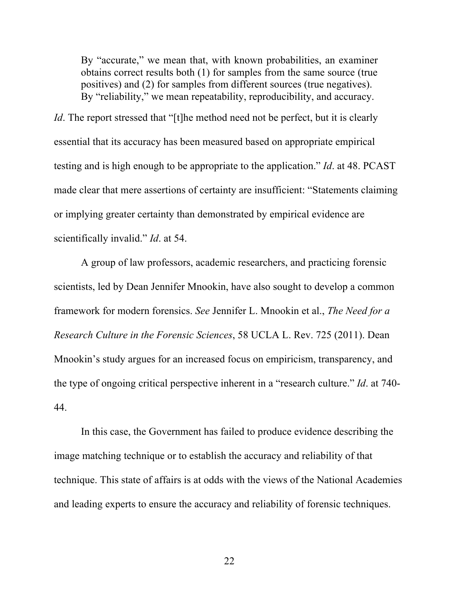By "accurate," we mean that, with known probabilities, an examiner obtains correct results both (1) for samples from the same source (true positives) and (2) for samples from different sources (true negatives). By "reliability," we mean repeatability, reproducibility, and accuracy.

*Id*. The report stressed that "[t]he method need not be perfect, but it is clearly essential that its accuracy has been measured based on appropriate empirical testing and is high enough to be appropriate to the application." *Id*. at 48. PCAST made clear that mere assertions of certainty are insufficient: "Statements claiming or implying greater certainty than demonstrated by empirical evidence are scientifically invalid." *Id*. at 54.

A group of law professors, academic researchers, and practicing forensic scientists, led by Dean Jennifer Mnookin, have also sought to develop a common framework for modern forensics. *See* Jennifer L. Mnookin et al., *The Need for a Research Culture in the Forensic Sciences*, 58 UCLA L. Rev. 725 (2011). Dean Mnookin's study argues for an increased focus on empiricism, transparency, and the type of ongoing critical perspective inherent in a "research culture." *Id*. at 740- 44.

In this case, the Government has failed to produce evidence describing the image matching technique or to establish the accuracy and reliability of that technique. This state of affairs is at odds with the views of the National Academies and leading experts to ensure the accuracy and reliability of forensic techniques.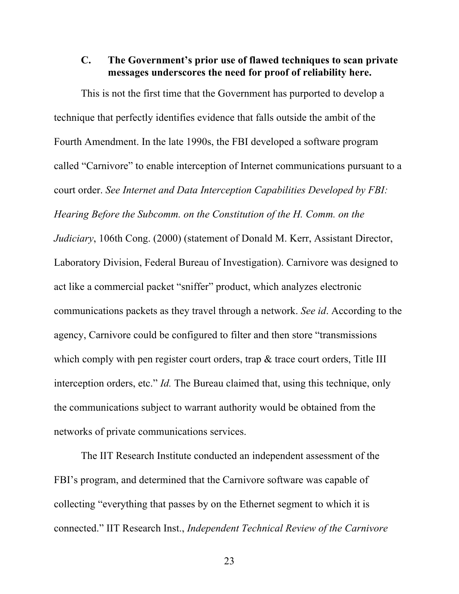### **C. The Government's prior use of flawed techniques to scan private messages underscores the need for proof of reliability here.**

This is not the first time that the Government has purported to develop a technique that perfectly identifies evidence that falls outside the ambit of the Fourth Amendment. In the late 1990s, the FBI developed a software program called "Carnivore" to enable interception of Internet communications pursuant to a court order. *See Internet and Data Interception Capabilities Developed by FBI: Hearing Before the Subcomm. on the Constitution of the H. Comm. on the Judiciary*, 106th Cong. (2000) (statement of Donald M. Kerr, Assistant Director, Laboratory Division, Federal Bureau of Investigation). Carnivore was designed to act like a commercial packet "sniffer" product, which analyzes electronic communications packets as they travel through a network. *See id*. According to the agency, Carnivore could be configured to filter and then store "transmissions which comply with pen register court orders, trap & trace court orders, Title III interception orders, etc." *Id.* The Bureau claimed that, using this technique, only the communications subject to warrant authority would be obtained from the networks of private communications services.

The IIT Research Institute conducted an independent assessment of the FBI's program, and determined that the Carnivore software was capable of collecting "everything that passes by on the Ethernet segment to which it is connected." IIT Research Inst., *Independent Technical Review of the Carnivore*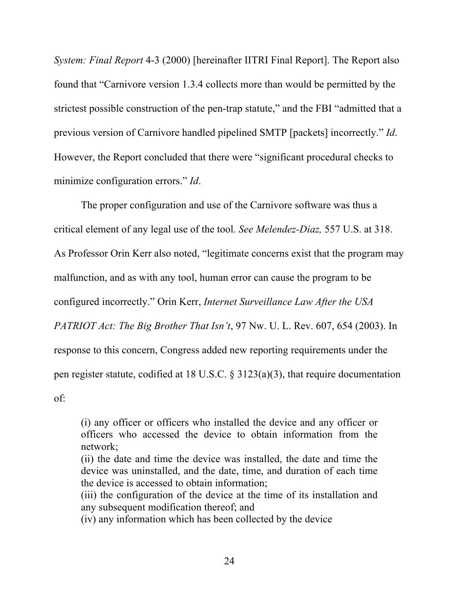*System: Final Report* 4-3 (2000) [hereinafter IITRI Final Report]. The Report also found that "Carnivore version 1.3.4 collects more than would be permitted by the strictest possible construction of the pen-trap statute," and the FBI "admitted that a previous version of Carnivore handled pipelined SMTP [packets] incorrectly." *Id*. However, the Report concluded that there were "significant procedural checks to minimize configuration errors." *Id*.

The proper configuration and use of the Carnivore software was thus a critical element of any legal use of the tool. *See Melendez-Diaz,* 557 U.S. at 318. As Professor Orin Kerr also noted, "legitimate concerns exist that the program may malfunction, and as with any tool, human error can cause the program to be configured incorrectly." Orin Kerr, *Internet Surveillance Law After the USA PATRIOT Act: The Big Brother That Isn't*, 97 Nw. U. L. Rev. 607, 654 (2003). In response to this concern, Congress added new reporting requirements under the pen register statute, codified at 18 U.S.C. § 3123(a)(3), that require documentation of:

(i) any officer or officers who installed the device and any officer or officers who accessed the device to obtain information from the network;

(ii) the date and time the device was installed, the date and time the device was uninstalled, and the date, time, and duration of each time the device is accessed to obtain information;

(iii) the configuration of the device at the time of its installation and any subsequent modification thereof; and

(iv) any information which has been collected by the device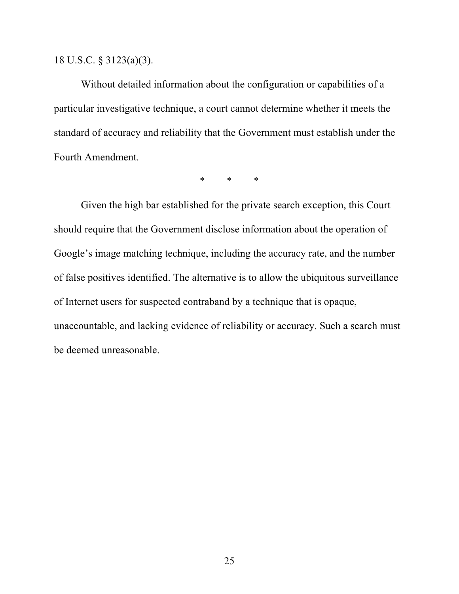### 18 U.S.C. § 3123(a)(3).

Without detailed information about the configuration or capabilities of a particular investigative technique, a court cannot determine whether it meets the standard of accuracy and reliability that the Government must establish under the Fourth Amendment.

\* \* \*

Given the high bar established for the private search exception, this Court should require that the Government disclose information about the operation of Google's image matching technique, including the accuracy rate, and the number of false positives identified. The alternative is to allow the ubiquitous surveillance of Internet users for suspected contraband by a technique that is opaque, unaccountable, and lacking evidence of reliability or accuracy. Such a search must be deemed unreasonable.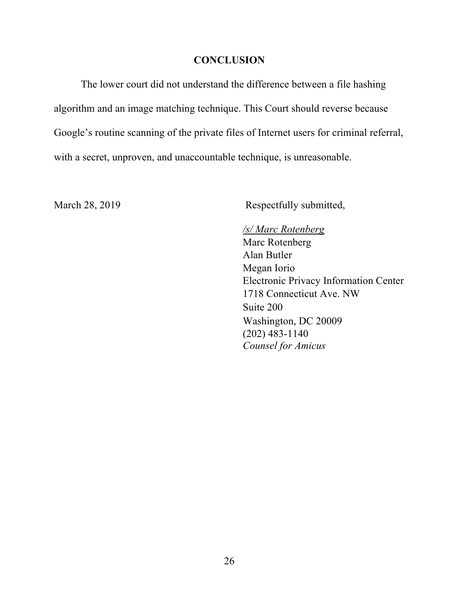#### **CONCLUSION**

The lower court did not understand the difference between a file hashing algorithm and an image matching technique. This Court should reverse because Google's routine scanning of the private files of Internet users for criminal referral, with a secret, unproven, and unaccountable technique, is unreasonable.

March 28, 2019 Respectfully submitted,

## */s/ Marc Rotenberg*

Marc Rotenberg Alan Butler Megan Iorio Electronic Privacy Information Center 1718 Connecticut Ave. NW Suite 200 Washington, DC 20009 (202) 483-1140 *Counsel for Amicus*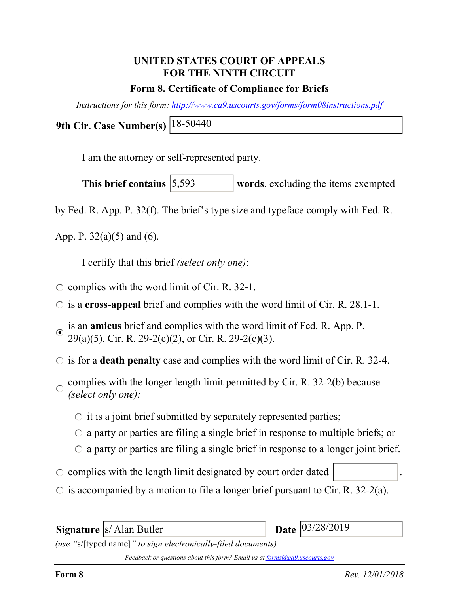# **UNITED STATES COURT OF APPEALS FOR THE NINTH CIRCUIT**

## **Form 8. Certificate of Compliance for Briefs**

*Instructions for this form: http://www.ca9.uscourts.gov/forms/form08instructions.pdf*

**9th Cir. Case Number(s)** 18-50440

I am the attorney or self-represented party.

words, excluding the items exempted This brief contains  $|5,593\rangle$ 

by Fed. R. App. P. 32(f). The brief's type size and typeface comply with Fed. R.

App. P.  $32(a)(5)$  and (6).

I certify that this brief *(select only one)*:

- $\circ$  complies with the word limit of Cir. R. 32-1.
- is a **cross-appeal** brief and complies with the word limit of Cir. R. 28.1-1.
- is an **amicus** brief and complies with the word limit of Fed. R. App. P.  $\odot$  $29(a)(5)$ , Cir. R. 29-2(c)(2), or Cir. R. 29-2(c)(3).
- $\circ$  is for a **death penalty** case and complies with the word limit of Cir. R. 32-4.
- complies with the longer length limit permitted by Cir. R. 32-2(b) because  $\bigcap$ *(select only one):*
	- $\circ$  it is a joint brief submitted by separately represented parties;
	- $\circ$  a party or parties are filing a single brief in response to multiple briefs; or
	- $\circ$  a party or parties are filing a single brief in response to a longer joint brief.
- $\circ$  complies with the length limit designated by court order dated
- $\circ$  is accompanied by a motion to file a longer brief pursuant to Cir. R. 32-2(a).

**Signature** *S* Alan Butler *(use "*s/[typed name]*" to sign electronically-filed documents)* Date 03/28/2019

*Feedback or questions about this form? Email us at forms@ca9.uscourts.gov*